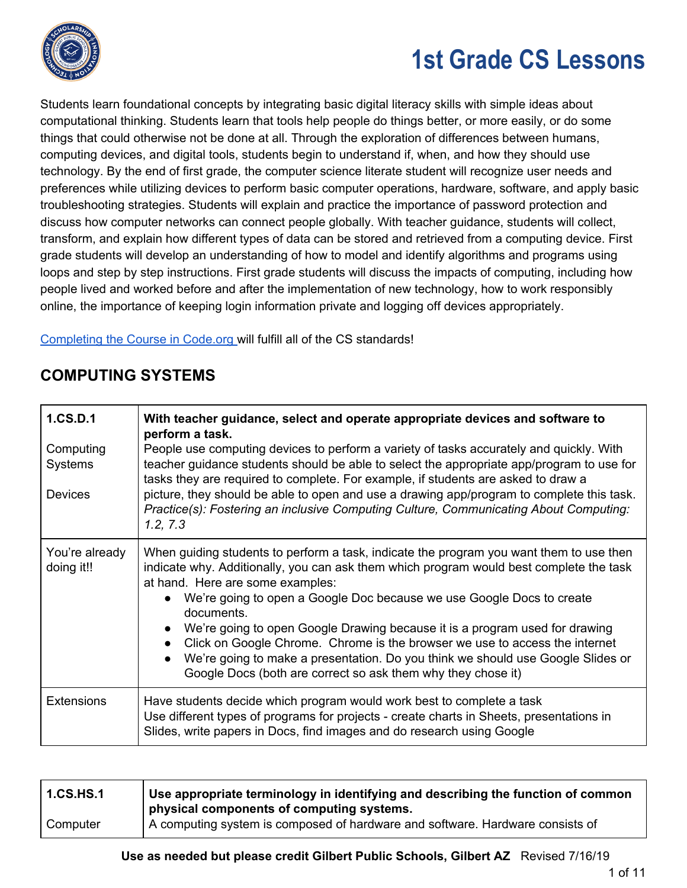

Students learn foundational concepts by integrating basic digital literacy skills with simple ideas about computational thinking. Students learn that tools help people do things better, or more easily, or do some things that could otherwise not be done at all. Through the exploration of differences between humans, computing devices, and digital tools, students begin to understand if, when, and how they should use technology. By the end of first grade, the computer science literate student will recognize user needs and preferences while utilizing devices to perform basic computer operations, hardware, software, and apply basic troubleshooting strategies. Students will explain and practice the importance of password protection and discuss how computer networks can connect people globally. With teacher guidance, students will collect, transform, and explain how different types of data can be stored and retrieved from a computing device. First grade students will develop an understanding of how to model and identify algorithms and programs using loops and step by step instructions. First grade students will discuss the impacts of computing, including how people lived and worked before and after the implementation of new technology, how to work responsibly online, the importance of keeping login information private and logging off devices appropriately.

[Completing](https://code.org/educate/curriculum/elementary-school) the Course in Code.org will fulfill all of the CS standards!

## **COMPUTING SYSTEMS**

| 1.CS.D.1<br>Computing<br><b>Systems</b><br><b>Devices</b> | With teacher guidance, select and operate appropriate devices and software to<br>perform a task.<br>People use computing devices to perform a variety of tasks accurately and quickly. With<br>teacher guidance students should be able to select the appropriate app/program to use for<br>tasks they are required to complete. For example, if students are asked to draw a<br>picture, they should be able to open and use a drawing app/program to complete this task.<br>Practice(s): Fostering an inclusive Computing Culture, Communicating About Computing:<br>1.2, 7.3                                                |
|-----------------------------------------------------------|--------------------------------------------------------------------------------------------------------------------------------------------------------------------------------------------------------------------------------------------------------------------------------------------------------------------------------------------------------------------------------------------------------------------------------------------------------------------------------------------------------------------------------------------------------------------------------------------------------------------------------|
| You're already<br>doing it!!                              | When guiding students to perform a task, indicate the program you want them to use then<br>indicate why. Additionally, you can ask them which program would best complete the task<br>at hand. Here are some examples:<br>We're going to open a Google Doc because we use Google Docs to create<br>documents.<br>We're going to open Google Drawing because it is a program used for drawing<br>Click on Google Chrome. Chrome is the browser we use to access the internet<br>We're going to make a presentation. Do you think we should use Google Slides or<br>Google Docs (both are correct so ask them why they chose it) |
| <b>Extensions</b>                                         | Have students decide which program would work best to complete a task<br>Use different types of programs for projects - create charts in Sheets, presentations in<br>Slides, write papers in Docs, find images and do research using Google                                                                                                                                                                                                                                                                                                                                                                                    |

| <b>1.CS.HS.1</b> | Use appropriate terminology in identifying and describing the function of common<br>physical components of computing systems. |
|------------------|-------------------------------------------------------------------------------------------------------------------------------|
| Computer         | A computing system is composed of hardware and software. Hardware consists of                                                 |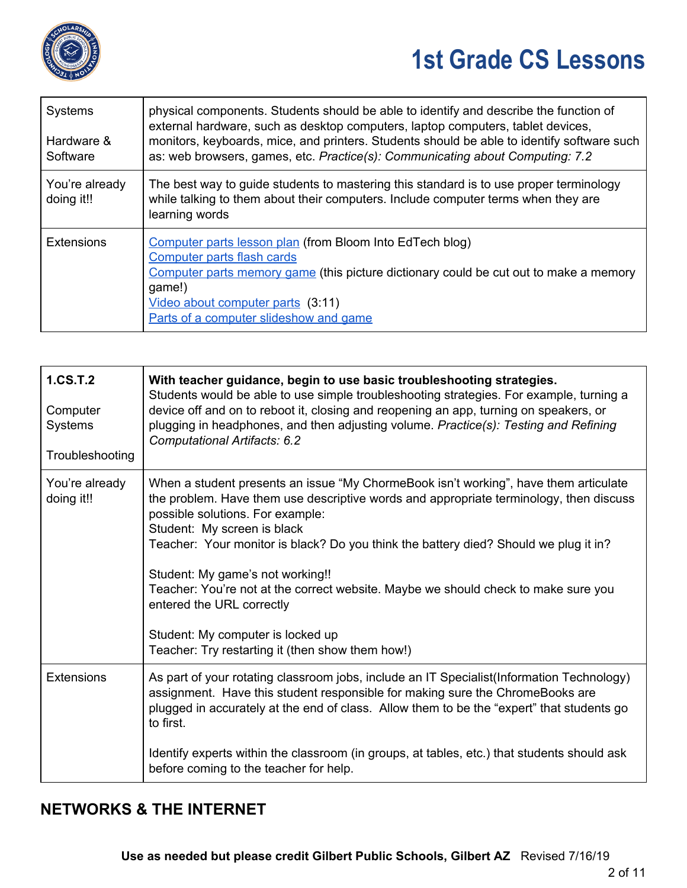

| <b>Systems</b><br>Hardware &<br>Software | physical components. Students should be able to identify and describe the function of<br>external hardware, such as desktop computers, laptop computers, tablet devices,<br>monitors, keyboards, mice, and printers. Students should be able to identify software such<br>as: web browsers, games, etc. Practice(s): Communicating about Computing: 7.2 |
|------------------------------------------|---------------------------------------------------------------------------------------------------------------------------------------------------------------------------------------------------------------------------------------------------------------------------------------------------------------------------------------------------------|
| You're already<br>doing it!!             | The best way to guide students to mastering this standard is to use proper terminology<br>while talking to them about their computers. Include computer terms when they are<br>learning words                                                                                                                                                           |
| <b>Extensions</b>                        | Computer parts lesson plan (from Bloom Into EdTech blog)<br>Computer parts flash cards<br>Computer parts memory game (this picture dictionary could be cut out to make a memory<br>game!)<br><u>Video about computer parts</u> (3:11)<br>Parts of a computer slideshow and game                                                                         |

| 1.CS.T.2<br>Computer<br>Systems<br>Troubleshooting | With teacher guidance, begin to use basic troubleshooting strategies.<br>Students would be able to use simple troubleshooting strategies. For example, turning a<br>device off and on to reboot it, closing and reopening an app, turning on speakers, or<br>plugging in headphones, and then adjusting volume. Practice(s): Testing and Refining<br>Computational Artifacts: 6.2                                                                                                                                                                                                         |
|----------------------------------------------------|-------------------------------------------------------------------------------------------------------------------------------------------------------------------------------------------------------------------------------------------------------------------------------------------------------------------------------------------------------------------------------------------------------------------------------------------------------------------------------------------------------------------------------------------------------------------------------------------|
| You're already<br>doing it!!                       | When a student presents an issue "My ChormeBook isn't working", have them articulate<br>the problem. Have them use descriptive words and appropriate terminology, then discuss<br>possible solutions. For example:<br>Student: My screen is black<br>Teacher: Your monitor is black? Do you think the battery died? Should we plug it in?<br>Student: My game's not working!!<br>Teacher: You're not at the correct website. Maybe we should check to make sure you<br>entered the URL correctly<br>Student: My computer is locked up<br>Teacher: Try restarting it (then show them how!) |
| <b>Extensions</b>                                  | As part of your rotating classroom jobs, include an IT Specialist(Information Technology)<br>assignment. Have this student responsible for making sure the ChromeBooks are<br>plugged in accurately at the end of class. Allow them to be the "expert" that students go<br>to first.<br>Identify experts within the classroom (in groups, at tables, etc.) that students should ask<br>before coming to the teacher for help.                                                                                                                                                             |

## **NETWORKS & THE INTERNET**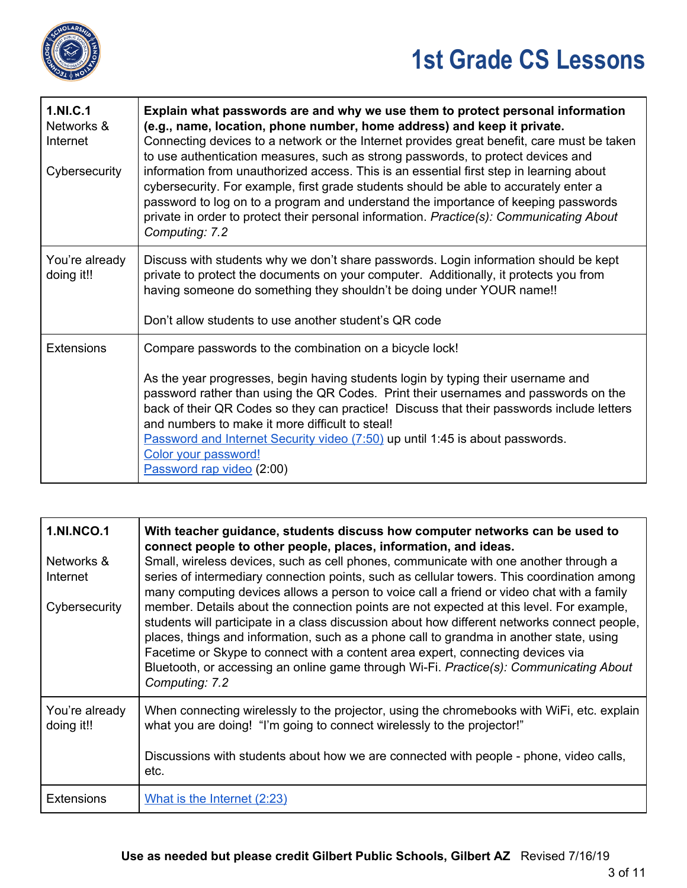

| 1.NI.C.1<br>Networks &<br>Internet<br>Cybersecurity | Explain what passwords are and why we use them to protect personal information<br>(e.g., name, location, phone number, home address) and keep it private.<br>Connecting devices to a network or the Internet provides great benefit, care must be taken<br>to use authentication measures, such as strong passwords, to protect devices and<br>information from unauthorized access. This is an essential first step in learning about<br>cybersecurity. For example, first grade students should be able to accurately enter a<br>password to log on to a program and understand the importance of keeping passwords<br>private in order to protect their personal information. Practice(s): Communicating About<br>Computing: 7.2 |
|-----------------------------------------------------|-------------------------------------------------------------------------------------------------------------------------------------------------------------------------------------------------------------------------------------------------------------------------------------------------------------------------------------------------------------------------------------------------------------------------------------------------------------------------------------------------------------------------------------------------------------------------------------------------------------------------------------------------------------------------------------------------------------------------------------|
| You're already<br>doing it!!                        | Discuss with students why we don't share passwords. Login information should be kept<br>private to protect the documents on your computer. Additionally, it protects you from<br>having someone do something they shouldn't be doing under YOUR name!!<br>Don't allow students to use another student's QR code                                                                                                                                                                                                                                                                                                                                                                                                                     |
| <b>Extensions</b>                                   | Compare passwords to the combination on a bicycle lock!<br>As the year progresses, begin having students login by typing their username and<br>password rather than using the QR Codes. Print their usernames and passwords on the<br>back of their QR Codes so they can practice! Discuss that their passwords include letters<br>and numbers to make it more difficult to steal!<br>Password and Internet Security video (7:50) up until 1:45 is about passwords.<br>Color your password!<br>Password rap video (2:00)                                                                                                                                                                                                            |

| <b>1.NI.NCO.1</b><br>Networks &<br>Internet<br>Cybersecurity | With teacher guidance, students discuss how computer networks can be used to<br>connect people to other people, places, information, and ideas.<br>Small, wireless devices, such as cell phones, communicate with one another through a<br>series of intermediary connection points, such as cellular towers. This coordination among<br>many computing devices allows a person to voice call a friend or video chat with a family<br>member. Details about the connection points are not expected at this level. For example,<br>students will participate in a class discussion about how different networks connect people,<br>places, things and information, such as a phone call to grandma in another state, using<br>Facetime or Skype to connect with a content area expert, connecting devices via<br>Bluetooth, or accessing an online game through Wi-Fi. Practice(s): Communicating About<br>Computing: 7.2 |
|--------------------------------------------------------------|--------------------------------------------------------------------------------------------------------------------------------------------------------------------------------------------------------------------------------------------------------------------------------------------------------------------------------------------------------------------------------------------------------------------------------------------------------------------------------------------------------------------------------------------------------------------------------------------------------------------------------------------------------------------------------------------------------------------------------------------------------------------------------------------------------------------------------------------------------------------------------------------------------------------------|
| You're already<br>doing it!!                                 | When connecting wirelessly to the projector, using the chromebooks with WiFi, etc. explain<br>what you are doing! "I'm going to connect wirelessly to the projector!"<br>Discussions with students about how we are connected with people - phone, video calls,<br>etc.                                                                                                                                                                                                                                                                                                                                                                                                                                                                                                                                                                                                                                                  |
| <b>Extensions</b>                                            | What is the Internet (2:23)                                                                                                                                                                                                                                                                                                                                                                                                                                                                                                                                                                                                                                                                                                                                                                                                                                                                                              |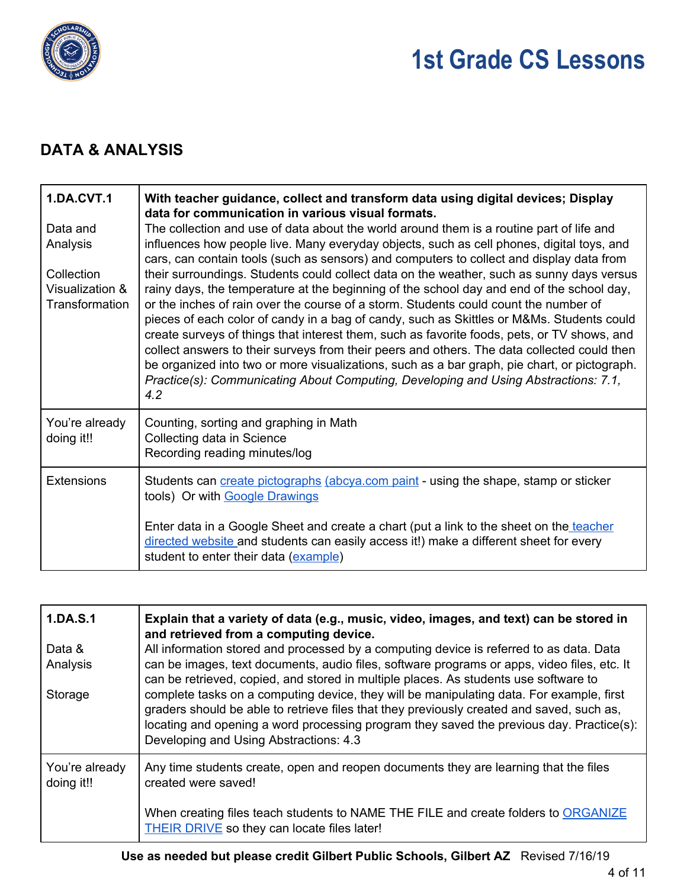

## **DATA & ANALYSIS**

| <b>1.DA.CVT.1</b><br>Data and<br>Analysis<br>Collection<br>Visualization &<br>Transformation | With teacher guidance, collect and transform data using digital devices; Display<br>data for communication in various visual formats.<br>The collection and use of data about the world around them is a routine part of life and<br>influences how people live. Many everyday objects, such as cell phones, digital toys, and<br>cars, can contain tools (such as sensors) and computers to collect and display data from<br>their surroundings. Students could collect data on the weather, such as sunny days versus<br>rainy days, the temperature at the beginning of the school day and end of the school day,<br>or the inches of rain over the course of a storm. Students could count the number of<br>pieces of each color of candy in a bag of candy, such as Skittles or M&Ms. Students could<br>create surveys of things that interest them, such as favorite foods, pets, or TV shows, and<br>collect answers to their surveys from their peers and others. The data collected could then<br>be organized into two or more visualizations, such as a bar graph, pie chart, or pictograph.<br>Practice(s): Communicating About Computing, Developing and Using Abstractions: 7.1,<br>4.2 |
|----------------------------------------------------------------------------------------------|-------------------------------------------------------------------------------------------------------------------------------------------------------------------------------------------------------------------------------------------------------------------------------------------------------------------------------------------------------------------------------------------------------------------------------------------------------------------------------------------------------------------------------------------------------------------------------------------------------------------------------------------------------------------------------------------------------------------------------------------------------------------------------------------------------------------------------------------------------------------------------------------------------------------------------------------------------------------------------------------------------------------------------------------------------------------------------------------------------------------------------------------------------------------------------------------------------|
| You're already<br>doing it!!                                                                 | Counting, sorting and graphing in Math<br>Collecting data in Science<br>Recording reading minutes/log                                                                                                                                                                                                                                                                                                                                                                                                                                                                                                                                                                                                                                                                                                                                                                                                                                                                                                                                                                                                                                                                                                 |
| <b>Extensions</b>                                                                            | Students can create pictographs (abcya.com paint - using the shape, stamp or sticker<br>tools) Or with Google Drawings                                                                                                                                                                                                                                                                                                                                                                                                                                                                                                                                                                                                                                                                                                                                                                                                                                                                                                                                                                                                                                                                                |
|                                                                                              | Enter data in a Google Sheet and create a chart (put a link to the sheet on the teacher<br>directed website and students can easily access it!) make a different sheet for every<br>student to enter their data (example)                                                                                                                                                                                                                                                                                                                                                                                                                                                                                                                                                                                                                                                                                                                                                                                                                                                                                                                                                                             |

| 1.DA.S.1                     | Explain that a variety of data (e.g., music, video, images, and text) can be stored in<br>and retrieved from a computing device.                                                                                                                                                                                            |
|------------------------------|-----------------------------------------------------------------------------------------------------------------------------------------------------------------------------------------------------------------------------------------------------------------------------------------------------------------------------|
| Data &<br>Analysis           | All information stored and processed by a computing device is referred to as data. Data<br>can be images, text documents, audio files, software programs or apps, video files, etc. It<br>can be retrieved, copied, and stored in multiple places. As students use software to                                              |
| Storage                      | complete tasks on a computing device, they will be manipulating data. For example, first<br>graders should be able to retrieve files that they previously created and saved, such as,<br>locating and opening a word processing program they saved the previous day. Practice(s):<br>Developing and Using Abstractions: 4.3 |
| You're already<br>doing it!! | Any time students create, open and reopen documents they are learning that the files<br>created were saved!                                                                                                                                                                                                                 |
|                              | When creating files teach students to NAME THE FILE and create folders to ORGANIZE<br><b>THEIR DRIVE</b> so they can locate files later!                                                                                                                                                                                    |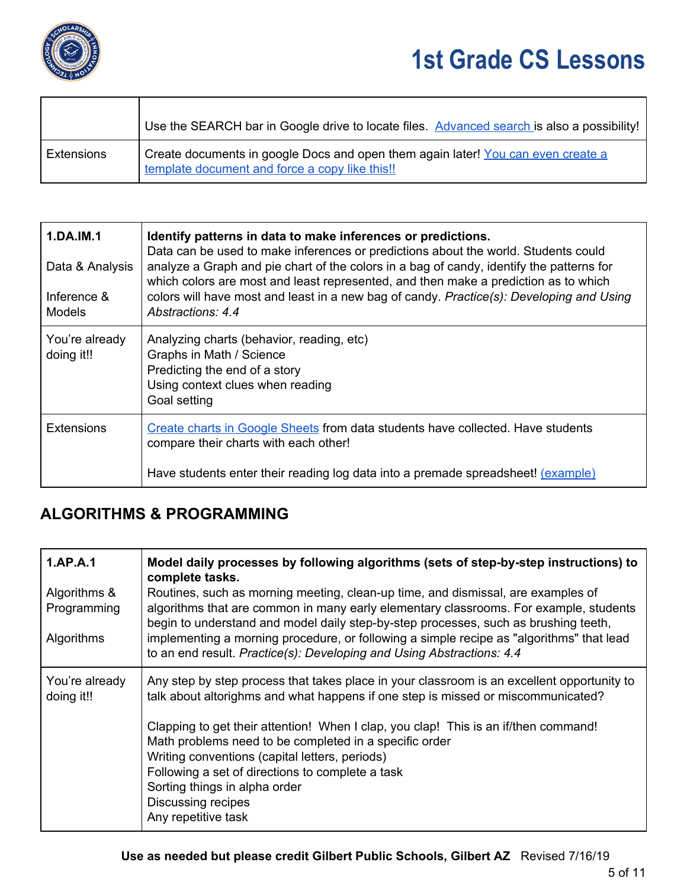

|            | Use the SEARCH bar in Google drive to locate files. Advanced search is also a possibility!                                         |
|------------|------------------------------------------------------------------------------------------------------------------------------------|
| Extensions | Create documents in google Docs and open them again later! You can even create a<br>template document and force a copy like this!! |

| 1.DA.IM.1<br>Data & Analysis<br>Inference &<br><b>Models</b> | Identify patterns in data to make inferences or predictions.<br>Data can be used to make inferences or predictions about the world. Students could<br>analyze a Graph and pie chart of the colors in a bag of candy, identify the patterns for<br>which colors are most and least represented, and then make a prediction as to which<br>colors will have most and least in a new bag of candy. Practice(s): Developing and Using<br>Abstractions: 4.4 |
|--------------------------------------------------------------|--------------------------------------------------------------------------------------------------------------------------------------------------------------------------------------------------------------------------------------------------------------------------------------------------------------------------------------------------------------------------------------------------------------------------------------------------------|
| You're already<br>doing it!!                                 | Analyzing charts (behavior, reading, etc)<br>Graphs in Math / Science<br>Predicting the end of a story<br>Using context clues when reading<br>Goal setting                                                                                                                                                                                                                                                                                             |
| <b>Extensions</b>                                            | Create charts in Google Sheets from data students have collected. Have students<br>compare their charts with each other!<br>Have students enter their reading log data into a premade spreadsheet! (example)                                                                                                                                                                                                                                           |

#### **ALGORITHMS & PROGRAMMING**

| 1.AP.A.1                     | Model daily processes by following algorithms (sets of step-by-step instructions) to<br>complete tasks.                                                                                                                                                  |
|------------------------------|----------------------------------------------------------------------------------------------------------------------------------------------------------------------------------------------------------------------------------------------------------|
| Algorithms &<br>Programming  | Routines, such as morning meeting, clean-up time, and dismissal, are examples of<br>algorithms that are common in many early elementary classrooms. For example, students                                                                                |
| <b>Algorithms</b>            | begin to understand and model daily step-by-step processes, such as brushing teeth,<br>implementing a morning procedure, or following a simple recipe as "algorithms" that lead<br>to an end result. Practice(s): Developing and Using Abstractions: 4.4 |
| You're already<br>doing it!! | Any step by step process that takes place in your classroom is an excellent opportunity to<br>talk about altorighms and what happens if one step is missed or miscommunicated?                                                                           |
|                              | Clapping to get their attention! When I clap, you clap! This is an if/then command!<br>Math problems need to be completed in a specific order                                                                                                            |
|                              | Writing conventions (capital letters, periods)<br>Following a set of directions to complete a task<br>Sorting things in alpha order                                                                                                                      |
|                              | Discussing recipes<br>Any repetitive task                                                                                                                                                                                                                |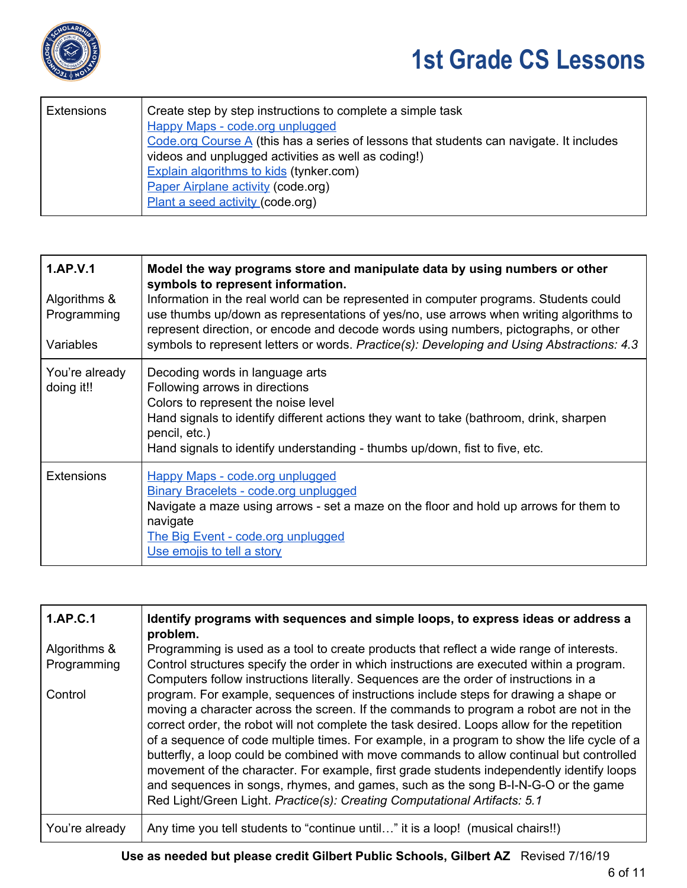

| <b>Extensions</b> | Create step by step instructions to complete a simple task                              |
|-------------------|-----------------------------------------------------------------------------------------|
|                   | Happy Maps - code.org unplugged                                                         |
|                   | Code.org Course A (this has a series of lessons that students can navigate. It includes |
|                   | videos and unplugged activities as well as coding!)                                     |
|                   | <b>Explain algorithms to kids (tynker.com)</b>                                          |
|                   | Paper Airplane activity (code.org)                                                      |
|                   | Plant a seed activity (code.org)                                                        |
|                   |                                                                                         |

| 1.AP.V.1<br>Algorithms &<br>Programming<br>Variables | Model the way programs store and manipulate data by using numbers or other<br>symbols to represent information.<br>Information in the real world can be represented in computer programs. Students could<br>use thumbs up/down as representations of yes/no, use arrows when writing algorithms to<br>represent direction, or encode and decode words using numbers, pictographs, or other<br>symbols to represent letters or words. Practice(s): Developing and Using Abstractions: 4.3 |
|------------------------------------------------------|------------------------------------------------------------------------------------------------------------------------------------------------------------------------------------------------------------------------------------------------------------------------------------------------------------------------------------------------------------------------------------------------------------------------------------------------------------------------------------------|
| You're already<br>doing it!!                         | Decoding words in language arts<br>Following arrows in directions<br>Colors to represent the noise level<br>Hand signals to identify different actions they want to take (bathroom, drink, sharpen<br>pencil, etc.)<br>Hand signals to identify understanding - thumbs up/down, fist to five, etc.                                                                                                                                                                                       |
| <b>Extensions</b>                                    | <b>Happy Maps - code.org unplugged</b><br><b>Binary Bracelets - code.org unplugged</b><br>Navigate a maze using arrows - set a maze on the floor and hold up arrows for them to<br>navigate<br><u>The Big Event - code.org unplugged</u><br>Use emojis to tell a story                                                                                                                                                                                                                   |

| 1.AP.C.1       | Identify programs with sequences and simple loops, to express ideas or address a<br>problem.                                                                                                                                                                                                                                                                                                                                                                                                                                                                                                                                                                                                                                             |
|----------------|------------------------------------------------------------------------------------------------------------------------------------------------------------------------------------------------------------------------------------------------------------------------------------------------------------------------------------------------------------------------------------------------------------------------------------------------------------------------------------------------------------------------------------------------------------------------------------------------------------------------------------------------------------------------------------------------------------------------------------------|
| Algorithms &   | Programming is used as a tool to create products that reflect a wide range of interests.                                                                                                                                                                                                                                                                                                                                                                                                                                                                                                                                                                                                                                                 |
| Programming    | Control structures specify the order in which instructions are executed within a program.<br>Computers follow instructions literally. Sequences are the order of instructions in a                                                                                                                                                                                                                                                                                                                                                                                                                                                                                                                                                       |
| Control        | program. For example, sequences of instructions include steps for drawing a shape or<br>moving a character across the screen. If the commands to program a robot are not in the<br>correct order, the robot will not complete the task desired. Loops allow for the repetition<br>of a sequence of code multiple times. For example, in a program to show the life cycle of a<br>butterfly, a loop could be combined with move commands to allow continual but controlled<br>movement of the character. For example, first grade students independently identify loops<br>and sequences in songs, rhymes, and games, such as the song B-I-N-G-O or the game<br>Red Light/Green Light. Practice(s): Creating Computational Artifacts: 5.1 |
| You're already | Any time you tell students to "continue until" it is a loop! (musical chairs!!)                                                                                                                                                                                                                                                                                                                                                                                                                                                                                                                                                                                                                                                          |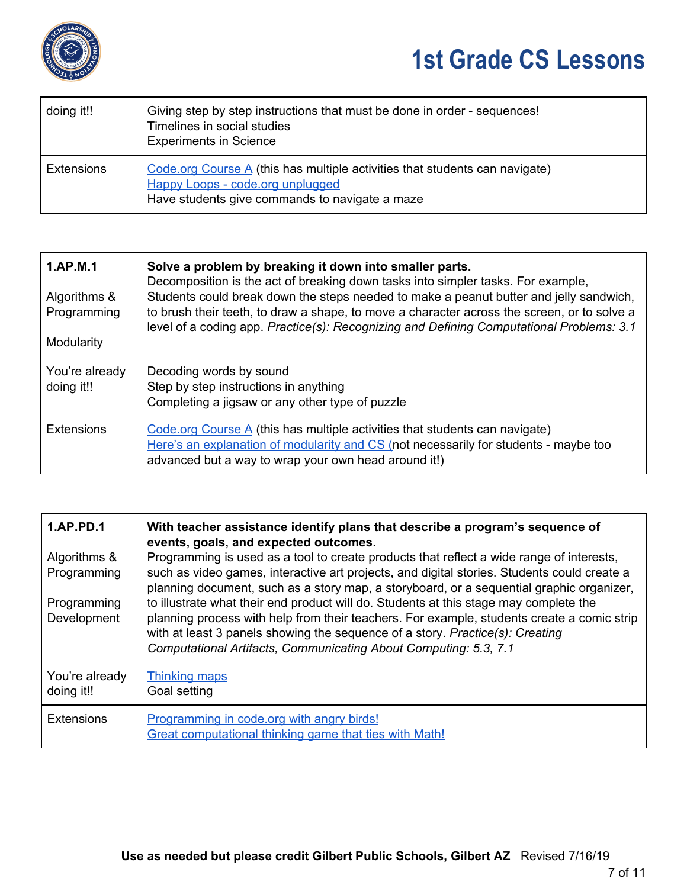

| doing it!!        | Giving step by step instructions that must be done in order - sequences!<br>Timelines in social studies<br><b>Experiments in Science</b>                                       |
|-------------------|--------------------------------------------------------------------------------------------------------------------------------------------------------------------------------|
| <b>Extensions</b> | Code.org Course $\overline{A}$ (this has multiple activities that students can navigate)<br>Happy Loops - code.org unplugged<br>Have students give commands to navigate a maze |

| 1.AP.M.1<br>Algorithms &<br>Programming<br>Modularity | Solve a problem by breaking it down into smaller parts.<br>Decomposition is the act of breaking down tasks into simpler tasks. For example,<br>Students could break down the steps needed to make a peanut butter and jelly sandwich,<br>to brush their teeth, to draw a shape, to move a character across the screen, or to solve a<br>level of a coding app. Practice(s): Recognizing and Defining Computational Problems: 3.1 |
|-------------------------------------------------------|----------------------------------------------------------------------------------------------------------------------------------------------------------------------------------------------------------------------------------------------------------------------------------------------------------------------------------------------------------------------------------------------------------------------------------|
| You're already<br>doing it!!                          | Decoding words by sound<br>Step by step instructions in anything<br>Completing a jigsaw or any other type of puzzle                                                                                                                                                                                                                                                                                                              |
| Extensions                                            | Code.org Course $\overline{A}$ (this has multiple activities that students can navigate)<br>Here's an explanation of modularity and CS (not necessarily for students - maybe too<br>advanced but a way to wrap your own head around it!)                                                                                                                                                                                         |

| 1.AP.PD.1                    | With teacher assistance identify plans that describe a program's sequence of<br>events, goals, and expected outcomes.                                                                                                                                                                                                                    |
|------------------------------|------------------------------------------------------------------------------------------------------------------------------------------------------------------------------------------------------------------------------------------------------------------------------------------------------------------------------------------|
| Algorithms &<br>Programming  | Programming is used as a tool to create products that reflect a wide range of interests,<br>such as video games, interactive art projects, and digital stories. Students could create a<br>planning document, such as a story map, a storyboard, or a sequential graphic organizer,                                                      |
| Programming<br>Development   | to illustrate what their end product will do. Students at this stage may complete the<br>planning process with help from their teachers. For example, students create a comic strip<br>with at least 3 panels showing the sequence of a story. Practice(s): Creating<br>Computational Artifacts, Communicating About Computing: 5.3, 7.1 |
| You're already<br>doing it!! | <b>Thinking maps</b><br>Goal setting                                                                                                                                                                                                                                                                                                     |
| <b>Extensions</b>            | Programming in code.org with angry birds!<br>Great computational thinking game that ties with Math!                                                                                                                                                                                                                                      |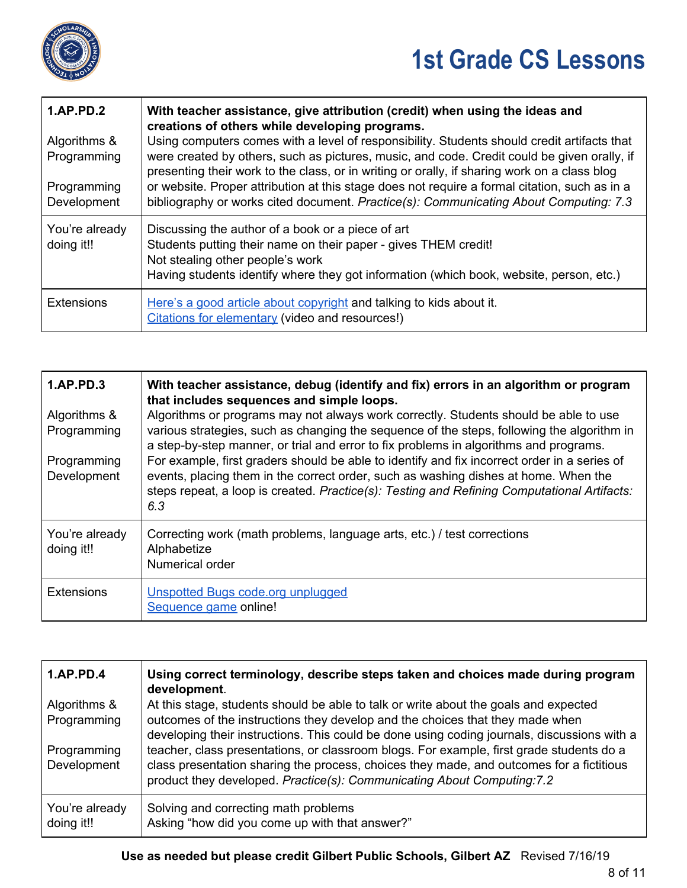

| <b>1.AP.PD.2</b><br>Algorithms &<br>Programming<br>Programming<br>Development | With teacher assistance, give attribution (credit) when using the ideas and<br>creations of others while developing programs.<br>Using computers comes with a level of responsibility. Students should credit artifacts that<br>were created by others, such as pictures, music, and code. Credit could be given orally, if<br>presenting their work to the class, or in writing or orally, if sharing work on a class blog<br>or website. Proper attribution at this stage does not require a formal citation, such as in a<br>bibliography or works cited document. Practice(s): Communicating About Computing: 7.3 |
|-------------------------------------------------------------------------------|-----------------------------------------------------------------------------------------------------------------------------------------------------------------------------------------------------------------------------------------------------------------------------------------------------------------------------------------------------------------------------------------------------------------------------------------------------------------------------------------------------------------------------------------------------------------------------------------------------------------------|
| You're already<br>doing it!!                                                  | Discussing the author of a book or a piece of art<br>Students putting their name on their paper - gives THEM credit!<br>Not stealing other people's work<br>Having students identify where they got information (which book, website, person, etc.)                                                                                                                                                                                                                                                                                                                                                                   |
| <b>Extensions</b>                                                             | Here's a good article about copyright and talking to kids about it.<br>Citations for elementary (video and resources!)                                                                                                                                                                                                                                                                                                                                                                                                                                                                                                |

| 1.AP.PD.3<br>Algorithms &<br>Programming<br>Programming<br>Development | With teacher assistance, debug (identify and fix) errors in an algorithm or program<br>that includes sequences and simple loops.<br>Algorithms or programs may not always work correctly. Students should be able to use<br>various strategies, such as changing the sequence of the steps, following the algorithm in<br>a step-by-step manner, or trial and error to fix problems in algorithms and programs.<br>For example, first graders should be able to identify and fix incorrect order in a series of<br>events, placing them in the correct order, such as washing dishes at home. When the<br>steps repeat, a loop is created. Practice(s): Testing and Refining Computational Artifacts:<br>6.3 |
|------------------------------------------------------------------------|--------------------------------------------------------------------------------------------------------------------------------------------------------------------------------------------------------------------------------------------------------------------------------------------------------------------------------------------------------------------------------------------------------------------------------------------------------------------------------------------------------------------------------------------------------------------------------------------------------------------------------------------------------------------------------------------------------------|
| You're already<br>doing it!!                                           | Correcting work (math problems, language arts, etc.) / test corrections<br>Alphabetize<br>Numerical order                                                                                                                                                                                                                                                                                                                                                                                                                                                                                                                                                                                                    |
| <b>Extensions</b>                                                      | Unspotted Bugs code.org unplugged<br>Sequence game online!                                                                                                                                                                                                                                                                                                                                                                                                                                                                                                                                                                                                                                                   |

| <b>1.AP.PD.4</b>             | Using correct terminology, describe steps taken and choices made during program<br>development.                                                                                                                                                                 |
|------------------------------|-----------------------------------------------------------------------------------------------------------------------------------------------------------------------------------------------------------------------------------------------------------------|
| Algorithms &                 | At this stage, students should be able to talk or write about the goals and expected                                                                                                                                                                            |
| Programming                  | outcomes of the instructions they develop and the choices that they made when<br>developing their instructions. This could be done using coding journals, discussions with a                                                                                    |
| Programming<br>Development   | teacher, class presentations, or classroom blogs. For example, first grade students do a<br>class presentation sharing the process, choices they made, and outcomes for a fictitious<br>product they developed. Practice(s): Communicating About Computing: 7.2 |
| You're already<br>doing it!! | Solving and correcting math problems<br>Asking "how did you come up with that answer?"                                                                                                                                                                          |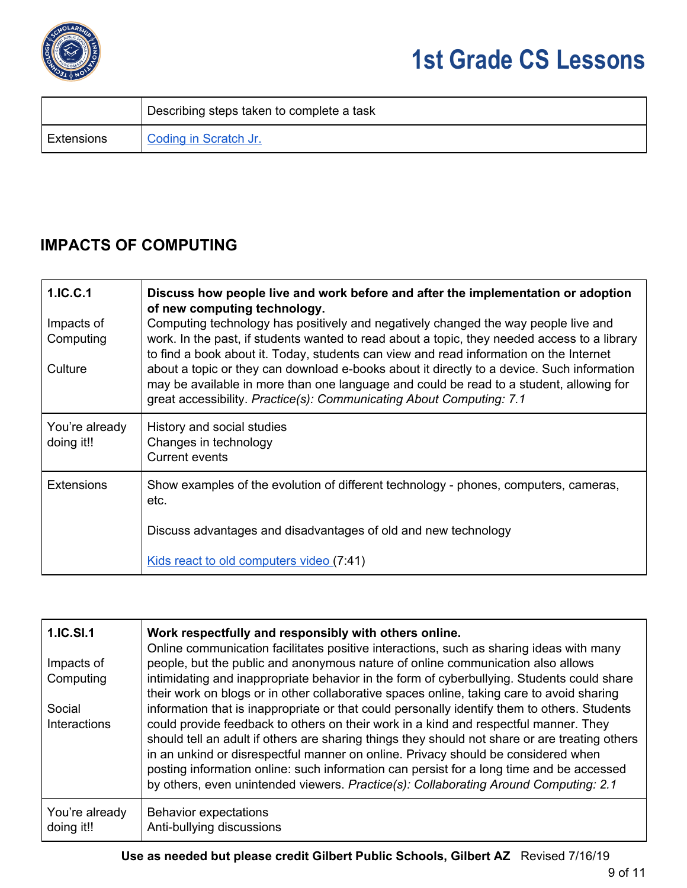

|            | Describing steps taken to complete a task |
|------------|-------------------------------------------|
| Extensions | Coding in Scratch Jr.                     |

### **IMPACTS OF COMPUTING**

| 1.IC.C.1<br>Impacts of<br>Computing<br>Culture | Discuss how people live and work before and after the implementation or adoption<br>of new computing technology.<br>Computing technology has positively and negatively changed the way people live and<br>work. In the past, if students wanted to read about a topic, they needed access to a library<br>to find a book about it. Today, students can view and read information on the Internet<br>about a topic or they can download e-books about it directly to a device. Such information<br>may be available in more than one language and could be read to a student, allowing for<br>great accessibility. Practice(s): Communicating About Computing: 7.1 |
|------------------------------------------------|-------------------------------------------------------------------------------------------------------------------------------------------------------------------------------------------------------------------------------------------------------------------------------------------------------------------------------------------------------------------------------------------------------------------------------------------------------------------------------------------------------------------------------------------------------------------------------------------------------------------------------------------------------------------|
| You're already<br>doing it!!                   | History and social studies<br>Changes in technology<br>Current events                                                                                                                                                                                                                                                                                                                                                                                                                                                                                                                                                                                             |
| <b>Extensions</b>                              | Show examples of the evolution of different technology - phones, computers, cameras,<br>etc.<br>Discuss advantages and disadvantages of old and new technology                                                                                                                                                                                                                                                                                                                                                                                                                                                                                                    |
|                                                | Kids react to old computers video (7:41)                                                                                                                                                                                                                                                                                                                                                                                                                                                                                                                                                                                                                          |

| 1.IC.SI.1                     | Work respectfully and responsibly with others online.<br>Online communication facilitates positive interactions, such as sharing ideas with many                                                                                                                                                                                                                                                                                                                                                                                                                |
|-------------------------------|-----------------------------------------------------------------------------------------------------------------------------------------------------------------------------------------------------------------------------------------------------------------------------------------------------------------------------------------------------------------------------------------------------------------------------------------------------------------------------------------------------------------------------------------------------------------|
| Impacts of<br>Computing       | people, but the public and anonymous nature of online communication also allows<br>intimidating and inappropriate behavior in the form of cyberbullying. Students could share<br>their work on blogs or in other collaborative spaces online, taking care to avoid sharing                                                                                                                                                                                                                                                                                      |
| Social<br><b>Interactions</b> | information that is inappropriate or that could personally identify them to others. Students<br>could provide feedback to others on their work in a kind and respectful manner. They<br>should tell an adult if others are sharing things they should not share or are treating others<br>in an unkind or disrespectful manner on online. Privacy should be considered when<br>posting information online: such information can persist for a long time and be accessed<br>by others, even unintended viewers. Practice(s): Collaborating Around Computing: 2.1 |
| You're already<br>doing it!!  | <b>Behavior expectations</b><br>Anti-bullying discussions                                                                                                                                                                                                                                                                                                                                                                                                                                                                                                       |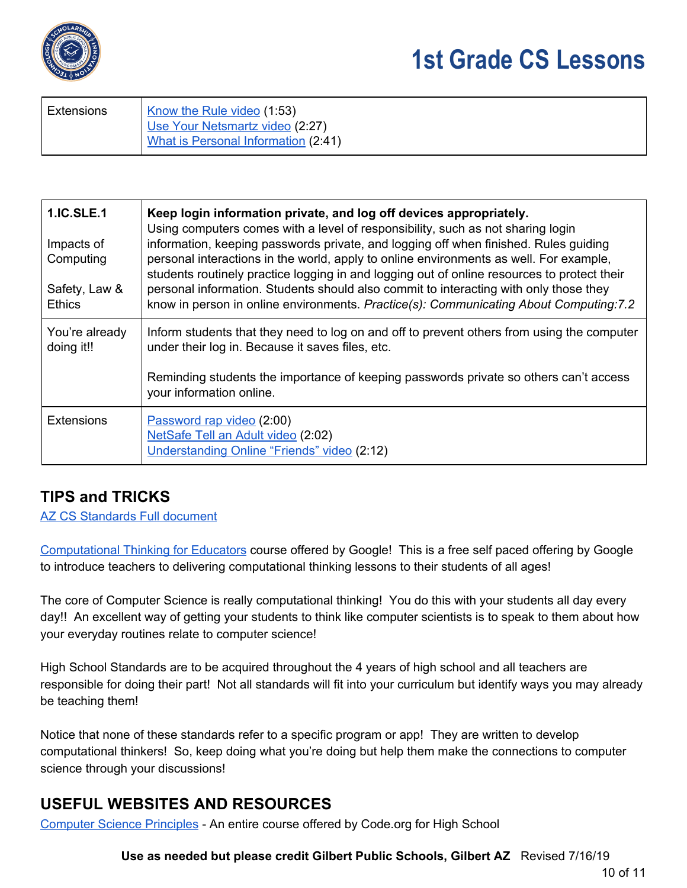

| Extensions | Know the Rule video (1:53)          |
|------------|-------------------------------------|
|            | Use Your Netsmartz video (2:27)     |
|            | What is Personal Information (2:41) |

| <b>1.IC.SLE.1</b><br>Impacts of<br>Computing<br>Safety, Law &<br><b>Ethics</b> | Keep login information private, and log off devices appropriately.<br>Using computers comes with a level of responsibility, such as not sharing login<br>information, keeping passwords private, and logging off when finished. Rules guiding<br>personal interactions in the world, apply to online environments as well. For example,<br>students routinely practice logging in and logging out of online resources to protect their<br>personal information. Students should also commit to interacting with only those they<br>know in person in online environments. Practice(s): Communicating About Computing: 7.2 |
|--------------------------------------------------------------------------------|---------------------------------------------------------------------------------------------------------------------------------------------------------------------------------------------------------------------------------------------------------------------------------------------------------------------------------------------------------------------------------------------------------------------------------------------------------------------------------------------------------------------------------------------------------------------------------------------------------------------------|
| You're already<br>doing it!!                                                   | Inform students that they need to log on and off to prevent others from using the computer<br>under their log in. Because it saves files, etc.                                                                                                                                                                                                                                                                                                                                                                                                                                                                            |
|                                                                                | Reminding students the importance of keeping passwords private so others can't access<br>your information online.                                                                                                                                                                                                                                                                                                                                                                                                                                                                                                         |
| <b>Extensions</b>                                                              | Password rap video (2:00)<br>NetSafe Tell an Adult video (2:02)<br>Understanding Online "Friends" video (2:12)                                                                                                                                                                                                                                                                                                                                                                                                                                                                                                            |

### **TIPS and TRICKS**

AZ CS [Standards](https://cms.azed.gov/home/GetDocumentFile?id=5bd8a46a1dcb250944216fea) Full document

[Computational](https://computationalthinkingcourse.withgoogle.com/course) Thinking for Educators course offered by Google! This is a free self paced offering by Google to introduce teachers to delivering computational thinking lessons to their students of all ages!

The core of Computer Science is really computational thinking! You do this with your students all day every day!! An excellent way of getting your students to think like computer scientists is to speak to them about how your everyday routines relate to computer science!

High School Standards are to be acquired throughout the 4 years of high school and all teachers are responsible for doing their part! Not all standards will fit into your curriculum but identify ways you may already be teaching them!

Notice that none of these standards refer to a specific program or app! They are written to develop computational thinkers! So, keep doing what you're doing but help them make the connections to computer science through your discussions!

### **USEFUL WEBSITES AND RESOURCES**

[Computer](https://curriculum.code.org/csp-18/) Science Principles - An entire course offered by Code.org for High School